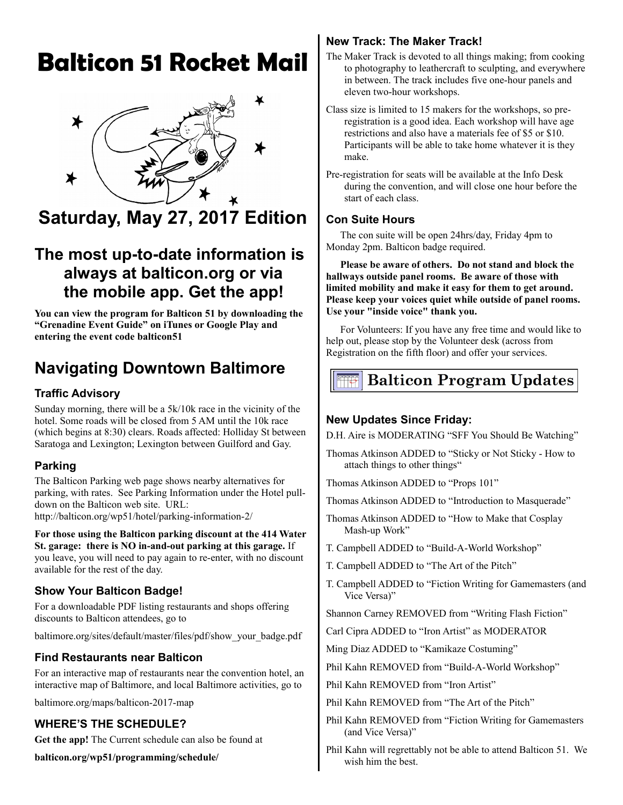# **Balticon 51 Rocket Mail**



## **Saturday, May 27, 2017 Edition**

### **The most up-to-date information is always at balticon.org or via the mobile app. Get the app!**

**You can view the program for Balticon 51 by downloading the "Grenadine Event Guide" on iTunes or Google Play and entering the event code balticon51**

### **Navigating Downtown Baltimore**

#### **Traffic Advisory**

Sunday morning, there will be a 5k/10k race in the vicinity of the hotel. Some roads will be closed from 5 AM until the 10k race (which begins at 8:30) clears. Roads affected: Holliday St between Saratoga and Lexington; Lexington between Guilford and Gay.

#### **Parking**

The Balticon Parking web page shows nearby alternatives for parking, with rates. See Parking Information under the Hotel pulldown on the Balticon web site. URL:

http://balticon.org/wp51/hotel/parking-information-2/

**For those using the Balticon parking discount at the 414 Water St. garage: there is NO in-and-out parking at this garage.** If you leave, you will need to pay again to re-enter, with no discount available for the rest of the day.

#### **Show Your Balticon Badge!**

For a downloadable PDF listing restaurants and shops offering discounts to Balticon attendees, go to

baltimore.org/sites/default/master/files/pdf/show\_your\_badge.pdf

#### **Find Restaurants near Balticon**

For an interactive map of restaurants near the convention hotel, an interactive map of Baltimore, and local Baltimore activities, go to

baltimore.org/maps/balticon-2017-map

#### **WHERE'S THE SCHEDULE?**

**Get the app!** The Current schedule can also be found at

**balticon.org/wp51/programming/schedule/**

#### **New Track: The Maker Track!**

- The Maker Track is devoted to all things making; from cooking to photography to leathercraft to sculpting, and everywhere in between. The track includes five one-hour panels and eleven two-hour workshops.
- Class size is limited to 15 makers for the workshops, so preregistration is a good idea. Each workshop will have age restrictions and also have a materials fee of \$5 or \$10. Participants will be able to take home whatever it is they make.
- Pre-registration for seats will be available at the Info Desk during the convention, and will close one hour before the start of each class.

#### **Con Suite Hours**

The con suite will be open 24hrs/day, Friday 4pm to Monday 2pm. Balticon badge required.

**Please be aware of others. Do not stand and block the hallways outside panel rooms. Be aware of those with limited mobility and make it easy for them to get around. Please keep your voices quiet while outside of panel rooms. Use your "inside voice" thank you.** 

For Volunteers: If you have any free time and would like to help out, please stop by the Volunteer desk (across from Registration on the fifth floor) and offer your services.

### **Balticon Program Updates**

#### **New Updates Since Friday:**

D.H. Aire is MODERATING "SFF You Should Be Watching"

- Thomas Atkinson ADDED to "Sticky or Not Sticky How to attach things to other things"
- Thomas Atkinson ADDED to "Props 101"
- Thomas Atkinson ADDED to "Introduction to Masquerade"
- Thomas Atkinson ADDED to "How to Make that Cosplay Mash-up Work"
- T. Campbell ADDED to "Build-A-World Workshop"
- T. Campbell ADDED to "The Art of the Pitch"
- T. Campbell ADDED to "Fiction Writing for Gamemasters (and Vice Versa)"

Shannon Carney REMOVED from "Writing Flash Fiction"

- Carl Cipra ADDED to "Iron Artist" as MODERATOR
- Ming Diaz ADDED to "Kamikaze Costuming"
- Phil Kahn REMOVED from "Build-A-World Workshop"
- Phil Kahn REMOVED from "Iron Artist"
- Phil Kahn REMOVED from "The Art of the Pitch"
- Phil Kahn REMOVED from "Fiction Writing for Gamemasters (and Vice Versa)"
- Phil Kahn will regrettably not be able to attend Balticon 51. We wish him the best.